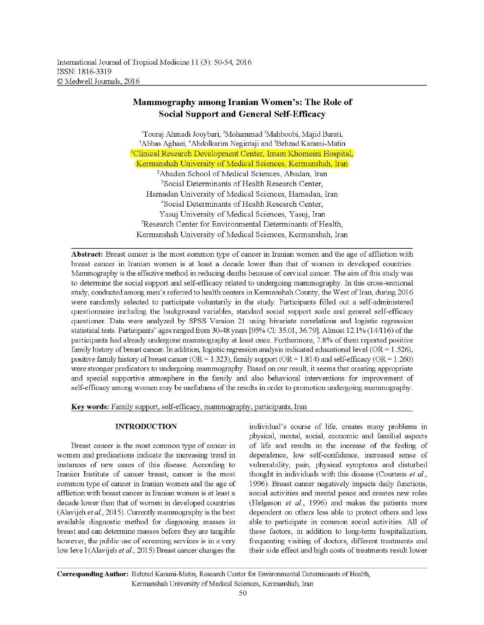# Mammography among Iranian Women's: The Role of Social Support and General Self-Efficacy

lTouraj Ahmadi Jouybari, 2Mohammad 2Mahboubi, Majid Barati, <sup>1</sup>Abbas Aghaei, <sup>4</sup>Abdolkarim Negintaji and <sup>5</sup>Behzad Karami-Matin <sup>1</sup>Clinical Research Development Center, Imam Khomeini Hospital, Kermanshah University of Medical Sciences, Kennanshah, Iran <sup>2</sup>Abadan School of Medical Sciences, Abadan, Iran 3Social Determinants of Health Research Center, Ramadan University of Medical Sciences, Ramadan, Iran 4Social Determinants of Health Research Center, Yasuj University of Medical Sciences, Yasuj, Iran <sup>5</sup>Research Center for Environmental Determinants of Health, Kermanshah University of Medical Sciences, Kennanshah, Iran

**Abstract:** Breast cancer is the most common type of cancer in Iranian women and the age of affliction with breast cancer in Iranian women is at least a decade lower than that of women in developed countries. Mammography is the effective method in reducing deaths because of cervical cancer. The aim of this study was to determine the social support and self-efficacy related to undergoing mammography. In this cross-sectional study, conducted among men's referred to health centers in Kermanshah County, the West of Iran, during 2016 were randomly selected to participate voluntarily in the study. Participants filled out a self-administered questionnaire including the background variables, standard social support scale and general self-efficacy questioner. Data were analyzed by SPSS Version 21 using bivariate correlations and logistic regression statistical tests. Participants' ages ranged from 30-48 years [95% CI: 35.01, 36.79]. Almost 12.1% (14/116) of the participants had already undergone mammography at least once. Furthermore, 7.8% of them reported positive family history of breast cancer. In addition, logistic regression analysis indicated educational level (OR =  $1.526$ ), positive family history of breast cancer (OR = 1.323), family support (OR = 1.814) and self-efficacy (OR = 1.260) were stronger predicators to undergoing mammography. Based on our result, it seems that creating appropriate and special supportive atmosphere in the family and also behavioral interventions for improvement of self-efficacy among women may be usefulness of the results in order to promotion undergoing mammography.

**Key words:** Family support, self-efficacy, mammography, participants, Iran

## INTRODUCTION

Breast cancer is the most common type of cancer in women and predications indicate the increasing trend in instances of new cases of this disease. According to Iranian Institute of cancer breast, cancer is the most common type of cancer in Iranian women and the age of affliction with breast cancer in Iranian women is at least a decade lower than that of women in developed countries (Alavijeh et al., 2015). Currently mammography is the best available diagnostic method for diagnosing masses in breast and can determine masses before they are tangible however, the public use of screening services is in a very low leve 1 (Alavijeh *et al.*, 2015) Breast cancer changes the

individual's course of life, creates many problems in physical, mental, social, economic and familial aspects of life and results in the increase of the feeling of dependence, low self-confidence, increased sense of vulnerability, pain, physical symptoms and disturbed thought in individuals with this disease (Cowtens *et al.,*  1996). Breast cancer negatively impacts daily functions, social activities and mental peace and creates new roles (Helgeson *et al.*, 1996) and makes the patients more dependent on others less able to protect others and less able to participate in common social activities. All of these factors, in addition to long-term hospitalization, frequenting visiting of doctors, different treatments and their side effect and high costs of treatments result lower

**Corresponding Author:** Behzad Karami-Matin, Research Center for Environmental Determinants of Health, Kerrnanshah University of Medical Sciences, Kerrnanshah, Iran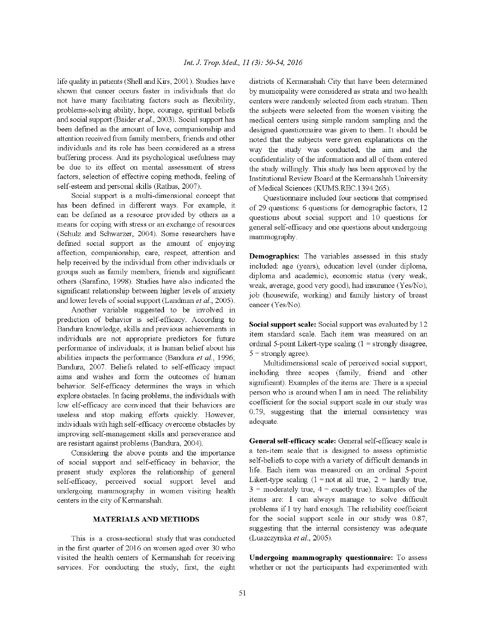life quality in patients (Shell and Kirs, 2001). Studies have shown that cancer occurs faster in individuals that do not have many facilitating factors such as flexibility, problems-solving ability, hope, courage, spiritual beliefs and social support (Baider et al., 2003). Social support has been defined as the amount of love, companionship and attention received from family members, friends and other individuals and its role has been considered as a stress buffering process. And its psychological usefulness may be due to its effect on mental assessment of stress factors, selection of effective coping methods, feeling of self-esteem and personal skills (Rathus, 2007).

Social support is a multi-dimensional concept that has been defined in different ways. For example, it can be defined as a resource provided by others as a means for coping with stress or an exchange of resources (Schulz and Schwarzer, 2004). Some researchers have defined social support as the amount of enjoying affection, companionship, care, respect, attention and help received by the individual from other individuals or groups such as family members, friends and significant others (Sarafino, 1998). Studies have also indicated the significant relationship between higher levels of anxiety and lower levels of social support (Landman et al., 2005).

Another variable suggested to be involved in prediction of behavior is self-efficacy. According to Bandura knowledge, skills and previous achievements in individuals are not appropriate predictors for future performance of individuals; it is human belief about his abilities impacts the performance (Bandura et al., 1996; Bandura, 2007. Beliefs related to self-efficacy impact aims and wishes and form the outcomes of human behavior. Self-efficacy determines the ways in which explore obstacles. In facing problems, the individuals with low elf-efficacy are convinced that their behaviors are useless and stop making efforts quickly. However, individuals with high self-efficacy overcome obstacles by improving self-management skills and perseverance and are resistant against problems (Bandura, 2004).

Considering the above points and the importance of social support and self-efficacy in behavior, the present study explores the relationship of general self-efficacy, perceived social support level and undergoing mammography in women visiting health centers in the city of Kermanshah.

#### **MATERIALS AND METHODS**

This is a cross-sectional study that was conducted in the first quarter of 2016 on women aged over 30 who visited the health centers of Kermanshah for receiving services. For conducting the study, first, the eight

districts of Kermanshah City that have been determined by municipality were considered as strata and two health centers were randomly selected from each stratum. Then the subjects were selected from the women visiting the medical centers using simple random sampling and the designed questionnaire was given to them. It should be noted that the subjects were given explanations on the way the study was conducted, the aim and the confidentiality of the information and all of them entered the study willingly. This study has been approved by the Institutional Review Board at the Kermanshah University of Medical Sciences (KUMS.REC.1394.265).

Questionnaire included four sections that comprised of 29 questions: 6 questions for demographic factors, 12 questions about social support and 10 questions for general self-efficacy and one questions about undergoing mammography.

Demographics: The variables assessed in this study included: age (years), education level (under diploma, diploma and academic), economic status (very weak, weak, average, good very good), had insurance (Yes/No), job (housewife, working) and family history of breast cancer (Yes/No).

Social support scale: Social support was evaluated by 12 item standard scale. Each item was measured on an ordinal 5-point Likert-type scaling  $(1 =$  strongly disagree,  $5 =$  strongly agree).

Multidimensional scale of perceived social support, including three scopes (family, friend and other significant). Examples of the items are: There is a special person who is around when I am in need. The reliability coefficient for the social support scale in our study was 0.79, suggesting that the internal consistency was adequate.

General self-efficacy scale: General self-efficacy scale is a ten-item scale that is designed to assess optimistic self-beliefs to cope with a variety of difficult demands in life. Each item was measured on an ordinal 5-point Likert-type scaling  $(1 = not at all true, 2 = hardly true,$  $3 =$  moderately true,  $4 =$  exactly true). Examples of the items are: I can always manage to solve difficult problems if I try hard enough. The reliability coefficient for the social support scale in our study was 0.87, suggesting that the internal consistency was adequate (Luszczynska et al., 2005).

Undergoing mammography questionnaire: To assess whether or not the participants had experimented with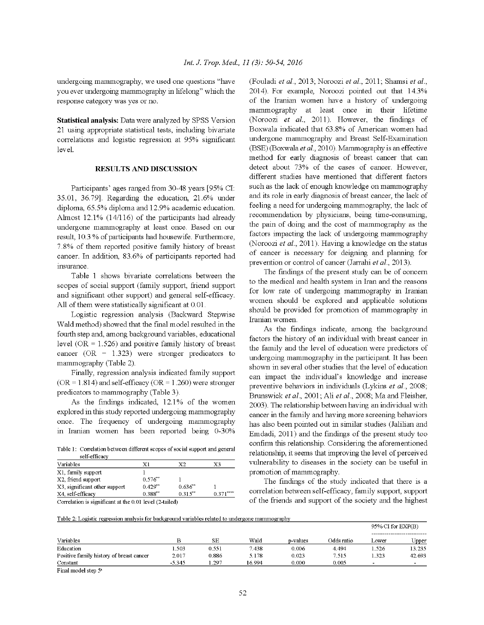undergoing mammography, we used one questions "have you ever undergoing mammography in lifelong" which the response category was yes or no.

Statistical analysis: Data were analyzed by SPSS Version 21 using appropriate statistical tests, including bivariate correlations and logistic regression at 95% significant level.

### **RESULTS AND DISCUSSION**

Participants' ages ranged from 30-48 years [95% CI: 35.01, 36.79]. Regarding the education, 21.6% under diploma, 65.5% diploma and 12.9% academic education. Almost 12.1% (14/116) of the participants had already undergone mammography at least once. Based on our result, 10.3 % of participants had housewife. Furthermore, 7.8% of them reported positive family history of breast cancer. In addition, 83.6% of participants reported had insurance.

Table 1 shows bivariate correlations between the scopes of social support (family support, friend support and significant other support) and general self-efficacy. All of them were statistically significant at 0.01.

Logistic regression analysis (Backward Stepwise Wald method) showed that the final model resulted in the fourth step and, among background variables, educational level ( $OR = 1.526$ ) and positive family history of breast cancer ( $OR = 1.323$ ) were stronger predicators to mammography (Table 2).

Finally, regression analysis indicated family support  $(OR = 1.814)$  and self-efficacy  $(OR = 1.260)$  were stronger predicators to mammography (Table 3).

As the findings indicated, 12.1% of the women explored in this study reported undergoing mammography once. The frequency of undergoing mammography in Iranian women has been reported being 0-30%

Table 1: Correlation between different scopes of social support and general self-efficacy

| Variables                     | Χ1           | X2           | X3         |
|-------------------------------|--------------|--------------|------------|
| X1, family support            |              |              |            |
| X2, friend support            | $0.576**$    |              |            |
| X3, significant other support | $0.429**$    | $0.636^{**}$ |            |
| X4, self-efficacy             | $0.388^{**}$ | $0.315**$    | $0.371***$ |
|                               |              |              |            |

Correlation is significant at the 0.01 level (2-tailed)

(Fouladi et al., 2013; Noroozi et al., 2011; Shamsi et al., 2014). For example, Noroozi pointed out that 14.3% of the Iranian women have a history of undergoing mammography at least once in their lifetime (Noroozi et al., 2011). However, the findings of Boxwala indicated that 63.8% of American women had undergone mammography and Breast Self-Examination (BSE) (Boxwala et al., 2010). Mammography is an effective method for early diagnosis of breast cancer that can detect about 73% of the cases of cancer. However, different studies have mentioned that different factors such as the lack of enough knowledge on mammography and its role in early diagnosis of breast cancer, the lack of feeling a need for undergoing mammography, the lack of recommendation by physicians, being time-consuming, the pain of doing and the cost of mammography as the factors impacting the lack of undergoing mammography (Noroozi et al., 2011). Having a knowledge on the status of cancer is necessary for deigning and planning for prevention or control of cancer (Jarrahi et al., 2013).

The findings of the present study can be of concern to the medical and health system in Iran and the reasons for low rate of undergoing mammography in Iranian women should be explored and applicable solutions should be provided for promotion of mammography in Iranian women.

As the findings indicate, among the background factors the history of an individual with breast cancer in the family and the level of education were predictors of undergoing mammography in the participant. It has been shown in several other studies that the level of education can impact the individual's knowledge and increase preventive behaviors in individuals (Lykins et al., 2008; Brunswick et al., 2001; Ali et al., 2008; Ma and Fleisher, 2003). The relationship between having an individual with cancer in the family and having more screening behaviors has also been pointed out in similar studies (Jalilian and Emdadi, 2011) and the findings of the present study too confirm this relationship. Considering the aforementioned relationship, it seems that improving the level of perceived vulnerability to diseases in the society can be useful in promotion of mammography.

The findings of the study indicated that there is a correlation between self-efficacy, family support, support of the friends and support of the society and the highest

Table 2: Logistic regression analysis for background variables related to undergone mammography

| Variables                                                                                                                                                                                                                                          | в        | SЕ    | Wald   | p-values | Odds ratio | $95\%$ CI for EXP(B) |        |
|----------------------------------------------------------------------------------------------------------------------------------------------------------------------------------------------------------------------------------------------------|----------|-------|--------|----------|------------|----------------------|--------|
|                                                                                                                                                                                                                                                    |          |       |        |          |            | Lower                | Upper  |
| Education                                                                                                                                                                                                                                          | 503      | 0.551 | 7.438  | 0.006    | 4.494      | 1.526                | 13.235 |
| Positive family history of breast cancer                                                                                                                                                                                                           | 2.017    | 0.886 | 5.178  | 0.023    | 7.515      | 1.323                | 42.693 |
| Constant<br>$-1$<br>the state of the state of the state of the state of the state of the state of the state of the state of the state of the state of the state of the state of the state of the state of the state of the state of the state of t | $-5.345$ | .297  | 16.994 | 0.000    | 0.005      |                      |        |

Final model step 5<sup>a</sup>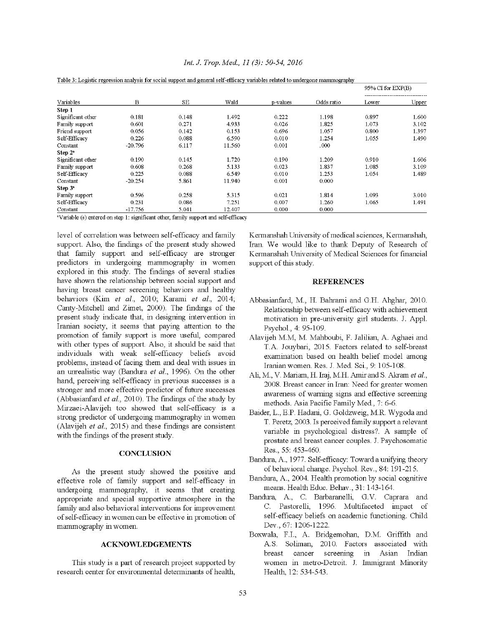| Variables         | В         | SЕ    |        | p-values | Odds ratio | 95% CI for EXP(B) |       |
|-------------------|-----------|-------|--------|----------|------------|-------------------|-------|
|                   |           |       | Wald   |          |            | Lower             | Upper |
| Step 1            |           |       |        |          |            |                   |       |
| Significant other | 0.181     | 0.148 | 1.492  | 0.222    | 1.198      | 0.897             | 1.600 |
| Family support    | 0.601     | 0.271 | 4.933  | 0.026    | 1.825      | 1.073             | 3.102 |
| Friend support    | 0.056     | 0.142 | 0.153  | 0.696    | 1.057      | 0.800             | 1.397 |
| Self-Efficacv     | 0.226     | 0.088 | 6.590  | 0.010    | 1.254      | 1.055             | 1.490 |
| Constant          | $-20.796$ | 6.117 | 11.560 | 0.001    | .000       |                   |       |
| Step $2^a$        |           |       |        |          |            |                   |       |
| Significant other | 0.190     | 0.145 | 1.720  | 0.190    | 1.209      | 0.910             | 1.606 |
| Family support    | 0.608     | 0.268 | 5.133  | 0.023    | 1.837      | 1.085             | 3.109 |
| Self-Efficacy     | 0.225     | 0.088 | 6.549  | 0.010    | 1.253      | 1.054             | 1.489 |
| Constant          | $-20.254$ | 5.861 | 11.940 | 0.001    | 0.000      |                   |       |
| Step $3a$         |           |       |        |          |            |                   |       |
| Family support    | 0.596     | 0.258 | 5.315  | 0.021    | 1.814      | 1.093             | 3.010 |
| Self-Efficacv     | 0.231     | 0.086 | 7.251  | 0.007    | 1.260      | 1.065             | 1.491 |
| Constant          | $-17.756$ | 5.041 | 12.407 | 0.000    | 0.000      |                   |       |

#### Int. J. Trop. Med., 11 (3): 50-54, 2016

Table 3: Logistic regression analysis for social support and general self-efficacy variables related to undergone mammography

<sup>a</sup>Variable (s) entered on step 1: significant other, family support and self-efficacy

level of correlation was between self-efficacy and family support. Also, the findings of the present study showed that family support and self-efficacy are stronger predictors in undergoing mammography in women explored in this study. The findings of several studies have shown the relationship between social support and having breast cancer screening behaviors and healthy behaviors (Kim et al., 2010; Karami et al., 2014; Canty-Mitchell and Zimet, 2000). The findings of the present study indicate that, in designing intervention in Iranian society, it seems that paying attention to the promotion of family support is more useful, compared with other types of support. Also, it should be said that individuals with weak self-efficacy beliefs avoid problems, instead of facing them and deal with issues in an unrealistic way (Bandura et al., 1996). On the other hand, perceiving self-efficacy in previous successes is a stronger and more effective predictor of future successes (Abbasianfard et al., 2010). The findings of the study by Mirzaei-Alavijeh too showed that self-efficacy is a strong predictor of undergoing mammography in women (Alavijeh et al., 2015) and these findings are consistent with the findings of the present study.

#### **CONCLUSION**

As the present study showed the positive and effective role of family support and self-efficacy in undergoing mammography, it seems that creating appropriate and special supportive atmosphere in the family and also behavioral interventions for improvement of self-efficacy in women can be effective in promotion of mammography in women.

#### **ACKNOWLEDGEMENTS**

This study is a part of research project supported by research center for environmental determinants of health. Kermanshah University of medical sciences, Kermanshah, Iran. We would like to thank Deputy of Research of Kermanshah University of Medical Sciences for financial support of this study.

#### **REFERENCES**

- Abbasianfard, M., H. Bahrami and G.H. Ahghar, 2010. Relationship between self-efficacy with achievement motivation in pre-university girl students. J. Appl. Psychol., 4: 95-109.
- Alavijeh M.M, M. Mahboubi, F. Jalilian, A. Aghaei and T.A. Jouybari, 2015. Factors related to self-breast examination based on health belief model among Iranian women. Res. J. Med. Sci., 9: 105-108.
- Ali, M., V. Mariam, H. Iraj, M.H. Amir and S. Akram et al., 2008. Breast cancer in Iran: Need for greater women awareness of warning signs and effective screening methods. Asia Pacific Family Med., 7: 6-6.
- Baider, L., E.P. Hadani, G. Goldzweig, M.R. Wygoda and T. Peretz, 2003. Is perceived family support a relevant variable in psychological distress? A sample of prostate and breast cancer couples. J. Psychosomatic Res., 55: 453-460.
- Bandura, A., 1977. Self-efficacy: Toward a unifying theory of behavioral change. Psychol. Rev., 84: 191-215.
- Bandura, A., 2004. Health promotion by social cognitive means. Health Educ. Behav., 31: 143-164.
- Bandura, A., C. Barbaranelli, G.V. Caprara and C. Pastorelli, 1996. Multifaceted impact of self-efficacy beliefs on academic functioning. Child Dev., 67: 1206-1222.
- Boxwala, F.I., A. Bridgemohan, D.M. Griffith and A.S. Soliman, 2010. Factors associated with breast cancer screening in Asian Indian women in metro-Detroit. J. Immigrant Minority Health, 12: 534-543.